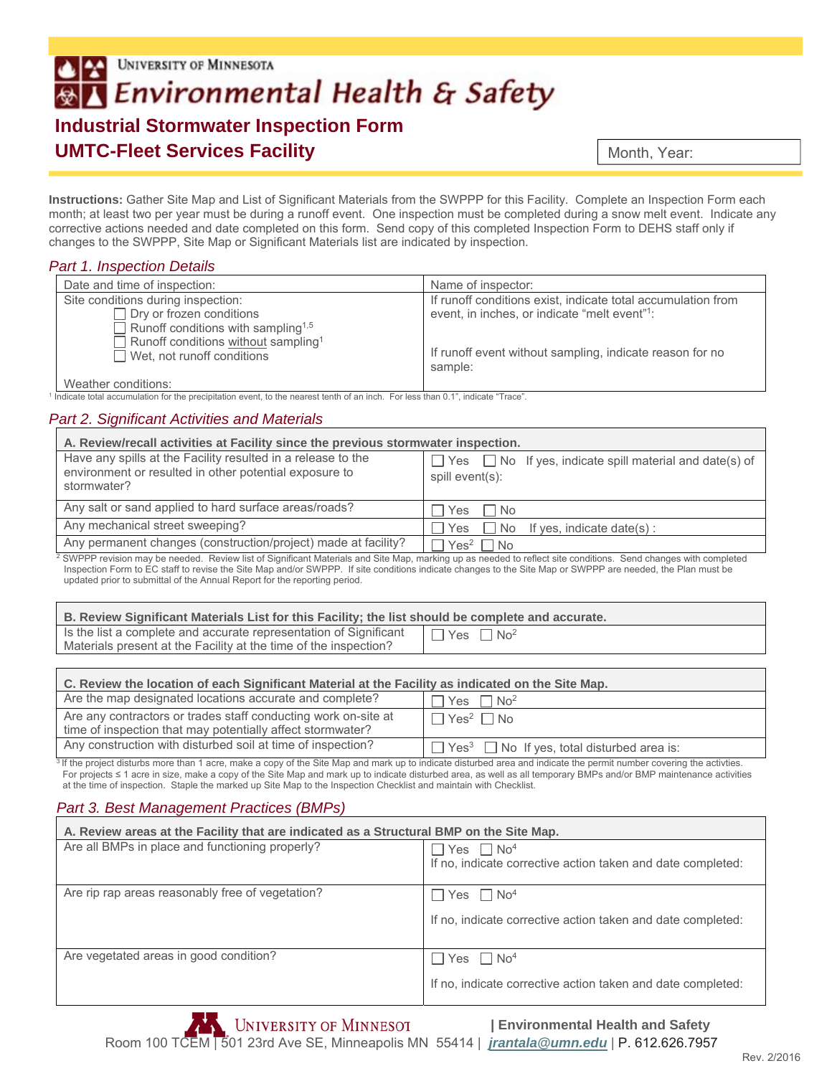# UNIVERSITY OF MINNESOTA **Environmental Health & Safety Industrial Stormwater Inspection Form UMTC-Fleet Services Facility**

Month, Year:

**Instructions:** Gather Site Map and List of Significant Materials from the SWPPP for this Facility. Complete an Inspection Form each month; at least two per year must be during a runoff event. One inspection must be completed during a snow melt event. Indicate any corrective actions needed and date completed on this form. Send copy of this completed Inspection Form to DEHS staff only if changes to the SWPPP, Site Map or Significant Materials list are indicated by inspection.

### *Part 1. Inspection Details*

| Date and time of inspection:                                                         | Name of inspector:                                                  |
|--------------------------------------------------------------------------------------|---------------------------------------------------------------------|
| Site conditions during inspection:                                                   | If runoff conditions exist, indicate total accumulation from        |
| $\Box$ Dry or frozen conditions                                                      | event, in inches, or indicate "melt event" <sup>1</sup> :           |
| Runoff conditions with sampling <sup>1,5</sup>                                       |                                                                     |
| Runoff conditions without sampling <sup>1</sup><br>$\Box$ Wet, not runoff conditions | If runoff event without sampling, indicate reason for no<br>sample: |

Weather conditions:

1 Indicate total accumulation for the precipitation event, to the nearest tenth of an inch. For less than 0.1", indicate "Trace".

## *Part 2. Significant Activities and Materials*

| A. Review/recall activities at Facility since the previous stormwater inspection.                                                     |                                                                                        |  |
|---------------------------------------------------------------------------------------------------------------------------------------|----------------------------------------------------------------------------------------|--|
| Have any spills at the Facility resulted in a release to the<br>environment or resulted in other potential exposure to<br>stormwater? | $\Box$ Yes $\Box$ No If yes, indicate spill material and date(s) of<br>spill event(s): |  |
| Any salt or sand applied to hard surface areas/roads?                                                                                 | <b>No</b><br>Yes                                                                       |  |
| Any mechanical street sweeping?                                                                                                       | No If yes, indicate date(s):<br>Yes                                                    |  |
| Any permanent changes (construction/project) made at facility?                                                                        | $Yes2 \square No$                                                                      |  |
| OMPORTS AND STEED CONTRACT IN A REPORT OF CHARGE AND CONTRACT STOLEN CONTRACT CHARGE OF A CHARGE OF HER COUNTRY                       |                                                                                        |  |

SWPPP revision may be needed. Review list of Significant Materials and Site Map, marking up as needed to reflect site conditions. Send changes with completed Inspection Form to EC staff to revise the Site Map and/or SWPPP. If site conditions indicate changes to the Site Map or SWPPP are needed, the Plan must be updated prior to submittal of the Annual Report for the reporting period.

| B. Review Significant Materials List for this Facility; the list should be complete and accurate.                                     |                                                   |
|---------------------------------------------------------------------------------------------------------------------------------------|---------------------------------------------------|
| Is the list a complete and accurate representation of Significant<br>Materials present at the Facility at the time of the inspection? | $\blacksquare$ Yes $\blacksquare$ No <sup>2</sup> |

| C. Review the location of each Significant Material at the Facility as indicated on the Site Map.                            |                                                                    |  |
|------------------------------------------------------------------------------------------------------------------------------|--------------------------------------------------------------------|--|
| Are the map designated locations accurate and complete?                                                                      | $\Box$ Yes $\Box$ No <sup>2</sup>                                  |  |
| Are any contractors or trades staff conducting work on-site at<br>time of inspection that may potentially affect stormwater? | $\Box$ Yes <sup>2</sup> $\Box$ No                                  |  |
| Any construction with disturbed soil at time of inspection?                                                                  | $\Box$ Yes <sup>3</sup> $\Box$ No If yes, total disturbed area is: |  |

<sup>3</sup> If the project disturbs more than 1 acre, make a copy of the Site Map and mark up to indicate disturbed area and indicate the permit number covering the activties. For projects ≤ 1 acre in size, make a copy of the Site Map and mark up to indicate disturbed area, as well as all temporary BMPs and/or BMP maintenance activities at the time of inspection. Staple the marked up Site Map to the Inspection Checklist and maintain with Checklist.

### *Part 3. Best Management Practices (BMPs)*

| A. Review areas at the Facility that are indicated as a Structural BMP on the Site Map. |                                                                                                      |
|-----------------------------------------------------------------------------------------|------------------------------------------------------------------------------------------------------|
| Are all BMPs in place and functioning properly?                                         | Yes $\Box$ No <sup>4</sup><br>If no, indicate corrective action taken and date completed:            |
| Are rip rap areas reasonably free of vegetation?                                        | $\sqrt{2}$ Yes $\Box$ No <sup>4</sup><br>If no, indicate corrective action taken and date completed: |
| Are vegetated areas in good condition?                                                  | $\top$ Yes $\Box$ No <sup>4</sup><br>If no, indicate corrective action taken and date completed:     |